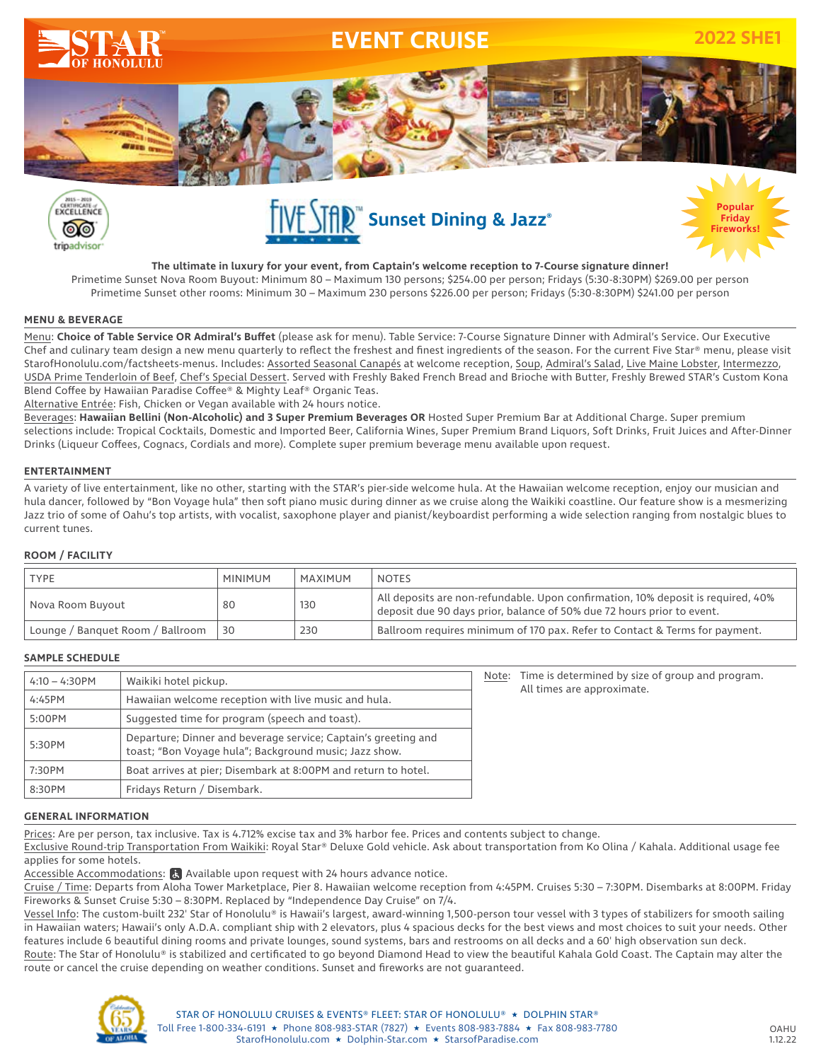







**The ultimate in luxury for your event, from Captain's welcome reception to 7-Course signature dinner!** Primetime Sunset Nova Room Buyout: Minimum 80 – Maximum 130 persons; \$254.00 per person; Fridays (5:30-8:30PM) \$269.00 per person Primetime Sunset other rooms: Minimum 30 – Maximum 230 persons \$226.00 per person; Fridays (5:30-8:30PM) \$241.00 per person

### **MENU & BEVERAGE**

Menu: **Choice of Table Service OR Admiral's Buffet** (please ask for menu). Table Service: 7-Course Signature Dinner with Admiral's Service. Our Executive Chef and culinary team design a new menu quarterly to reflect the freshest and finest ingredients of the season. For the current Five Star® menu, please visit StarofHonolulu.com/factsheets-menus. Includes: Assorted Seasonal Canapés at welcome reception, Soup, Admiral's Salad, Live Maine Lobster, Intermezzo, USDA Prime Tenderloin of Beef, Chef's Special Dessert. Served with Freshly Baked French Bread and Brioche with Butter, Freshly Brewed STAR's Custom Kona Blend Coffee by Hawaiian Paradise Coffee® & Mighty Leaf® Organic Teas.

Alternative Entrée: Fish, Chicken or Vegan available with 24 hours notice.

Beverages: **Hawaiian Bellini (Non-Alcoholic) and 3 Super Premium Beverages OR** Hosted Super Premium Bar at Additional Charge. Super premium selections include: Tropical Cocktails, Domestic and Imported Beer, California Wines, Super Premium Brand Liquors, Soft Drinks, Fruit Juices and After-Dinner Drinks (Liqueur Coffees, Cognacs, Cordials and more). Complete super premium beverage menu available upon request.

## **ENTERTAINMENT**

A variety of live entertainment, like no other, starting with the STAR's pier-side welcome hula. At the Hawaiian welcome reception, enjoy our musician and hula dancer, followed by "Bon Voyage hula" then soft piano music during dinner as we cruise along the Waikiki coastline. Our feature show is a mesmerizing Jazz trio of some of Oahu's top artists, with vocalist, saxophone player and pianist/keyboardist performing a wide selection ranging from nostalgic blues to current tunes.

## **ROOM / FACILITY**

| <b>TYPE</b>                      | <b>MINIMUM</b> | MAXIMUM | <b>NOTES</b>                                                                                                                                               |
|----------------------------------|----------------|---------|------------------------------------------------------------------------------------------------------------------------------------------------------------|
| Nova Room Buyout                 | 80             | 130     | All deposits are non-refundable. Upon confirmation, 10% deposit is required, 40%<br>deposit due 90 days prior, balance of 50% due 72 hours prior to event. |
| Lounge / Banquet Room / Ballroom | 30             | 230     | Ballroom requires minimum of 170 pax. Refer to Contact & Terms for payment.                                                                                |

## **SAMPLE SCHEDULE**

| $4:10 - 4:30$ PM | Waikiki hotel pickup.                                                                                                    |
|------------------|--------------------------------------------------------------------------------------------------------------------------|
| 4:45PM           | Hawaiian welcome reception with live music and hula.                                                                     |
| 5:00PM           | Suggested time for program (speech and toast).                                                                           |
| 5:30PM           | Departure; Dinner and beverage service; Captain's greeting and<br>toast; "Bon Voyage hula"; Background music; Jazz show. |
| 7:30PM           | Boat arrives at pier; Disembark at 8:00PM and return to hotel.                                                           |
| 8:30PM           | Fridays Return / Disembark.                                                                                              |

Note: Time is determined by size of group and program. All times are approximate.

### **GENERAL INFORMATION**

Prices: Are per person, tax inclusive. Tax is 4.712% excise tax and 3% harbor fee. Prices and contents subject to change.

Exclusive Round-trip Transportation From Waikiki: Royal Star® Deluxe Gold vehicle. Ask about transportation from Ko Olina / Kahala. Additional usage fee applies for some hotels.

Accessible Accommodations:  $\mathbf{F}_i$  Available upon request with 24 hours advance notice.

Cruise / Time: Departs from Aloha Tower Marketplace, Pier 8. Hawaiian welcome reception from 4:45PM. Cruises 5:30 – 7:30PM. Disembarks at 8:00PM. Friday Fireworks & Sunset Cruise 5:30 – 8:30PM. Replaced by "Independence Day Cruise" on 7/4.

Vessel Info: The custom-built 232' Star of Honolulu® is Hawaii's largest, award-winning 1,500-person tour vessel with 3 types of stabilizers for smooth sailing in Hawaiian waters; Hawaii's only A.D.A. compliant ship with 2 elevators, plus 4 spacious decks for the best views and most choices to suit your needs. Other features include 6 beautiful dining rooms and private lounges, sound systems, bars and restrooms on all decks and a 60' high observation sun deck.

Route: The Star of Honolulu® is stabilized and certificated to go beyond Diamond Head to view the beautiful Kahala Gold Coast. The Captain may alter the route or cancel the cruise depending on weather conditions. Sunset and fireworks are not guaranteed.